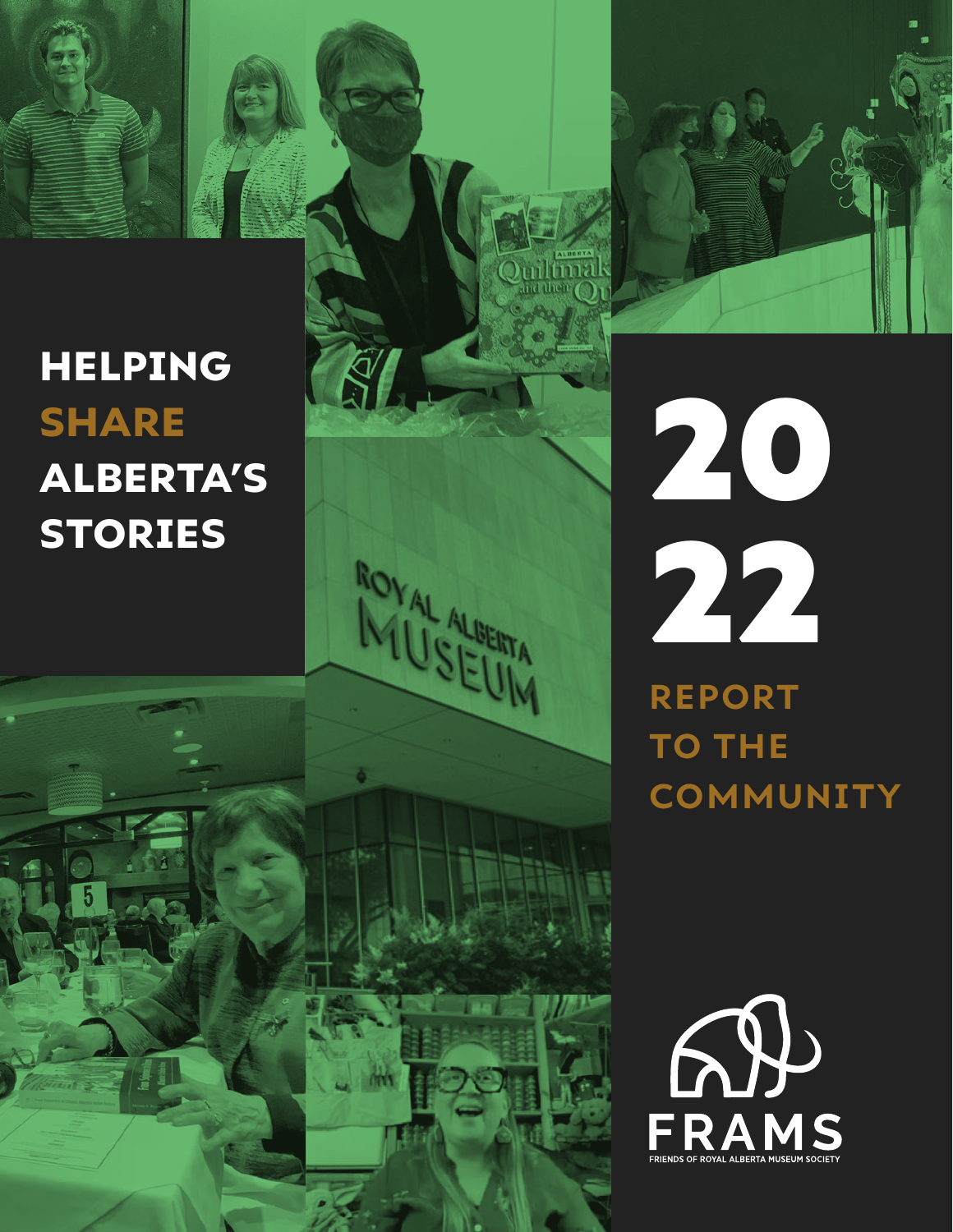## HELPING SHARE ALBERTA'S STORIES



# 20 22 **REPORT TO THE**

ROYAL ALBERTA

**COMMUNITY**

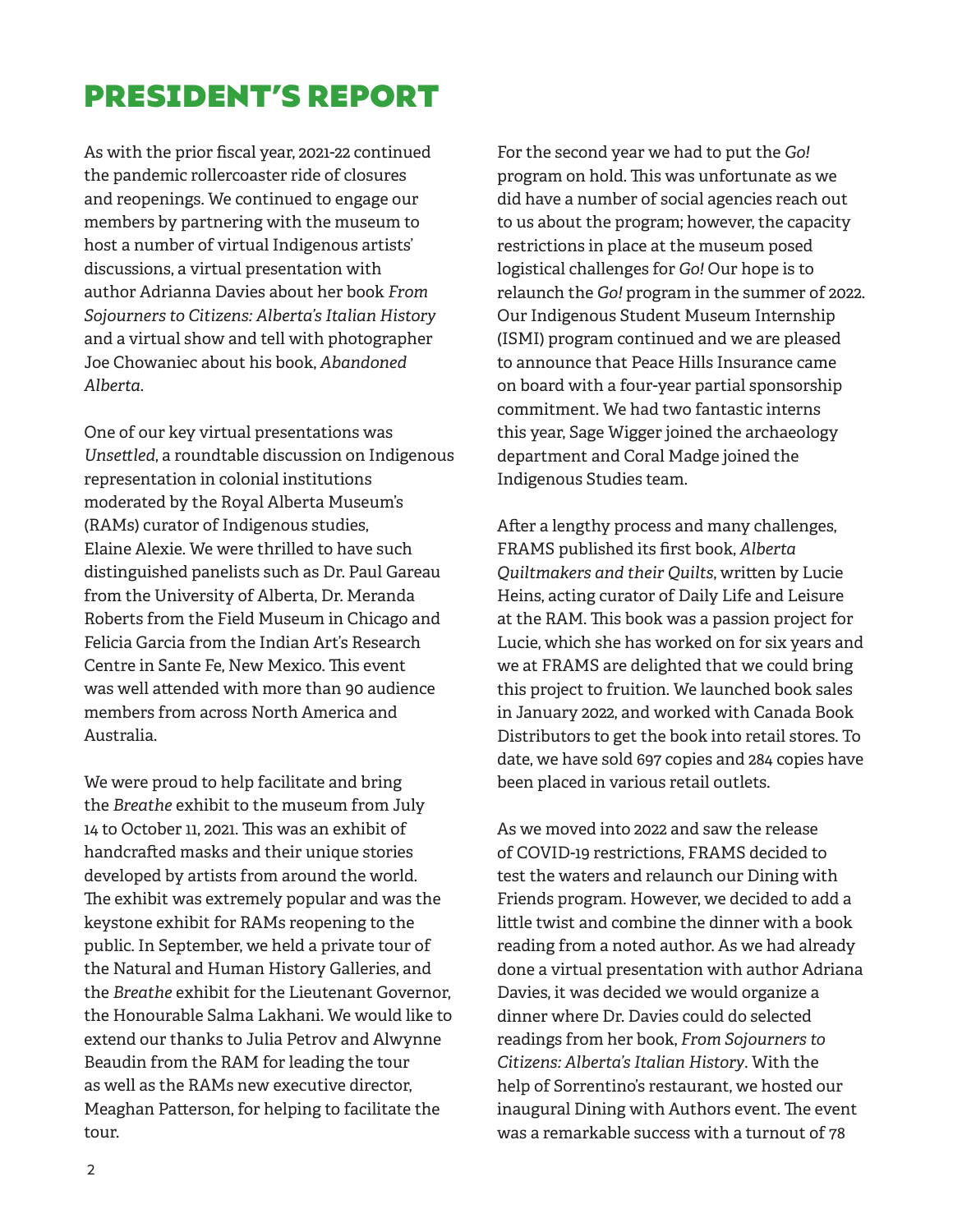## PRESIDENT'S REPORT

As with the prior fiscal year, 2021-22 continued the pandemic rollercoaster ride of closures and reopenings. We continued to engage our members by partnering with the museum to host a number of virtual Indigenous artists' discussions, a virtual presentation with author Adrianna Davies about her book *From Sojourners to Citizens: Alberta's Italian History* and a virtual show and tell with photographer Joe Chowaniec about his book, *Abandoned Alberta*.

One of our key virtual presentations was *Unsettled*, a roundtable discussion on Indigenous representation in colonial institutions moderated by the Royal Alberta Museum's (RAMs) curator of Indigenous studies, Elaine Alexie. We were thrilled to have such distinguished panelists such as Dr. Paul Gareau from the University of Alberta, Dr. Meranda Roberts from the Field Museum in Chicago and Felicia Garcia from the Indian Art's Research Centre in Sante Fe, New Mexico. This event was well attended with more than 90 audience members from across North America and Australia.

We were proud to help facilitate and bring the *Breathe* exhibit to the museum from July 14 to October 11, 2021. This was an exhibit of handcrafted masks and their unique stories developed by artists from around the world. The exhibit was extremely popular and was the keystone exhibit for RAMs reopening to the public. In September, we held a private tour of the Natural and Human History Galleries, and the *Breathe* exhibit for the Lieutenant Governor, the Honourable Salma Lakhani. We would like to extend our thanks to Julia Petrov and Alwynne Beaudin from the RAM for leading the tour as well as the RAMs new executive director, Meaghan Patterson, for helping to facilitate the tour.

For the second year we had to put the *Go!*  program on hold. This was unfortunate as we did have a number of social agencies reach out to us about the program; however, the capacity restrictions in place at the museum posed logistical challenges for *Go!* Our hope is to relaunch the *Go!* program in the summer of 2022. Our Indigenous Student Museum Internship (ISMI) program continued and we are pleased to announce that Peace Hills Insurance came on board with a four-year partial sponsorship commitment. We had two fantastic interns this year, Sage Wigger joined the archaeology department and Coral Madge joined the Indigenous Studies team.

After a lengthy process and many challenges, FRAMS published its first book, *Alberta Quiltmakers and their Quilts*, written by Lucie Heins, acting curator of Daily Life and Leisure at the RAM. This book was a passion project for Lucie, which she has worked on for six years and we at FRAMS are delighted that we could bring this project to fruition. We launched book sales in January 2022, and worked with Canada Book Distributors to get the book into retail stores. To date, we have sold 697 copies and 284 copies have been placed in various retail outlets.

As we moved into 2022 and saw the release of COVID-19 restrictions, FRAMS decided to test the waters and relaunch our Dining with Friends program. However, we decided to add a little twist and combine the dinner with a book reading from a noted author. As we had already done a virtual presentation with author Adriana Davies, it was decided we would organize a dinner where Dr. Davies could do selected readings from her book, *From Sojourners to Citizens: Alberta's Italian History*. With the help of Sorrentino's restaurant, we hosted our inaugural Dining with Authors event. The event was a remarkable success with a turnout of 78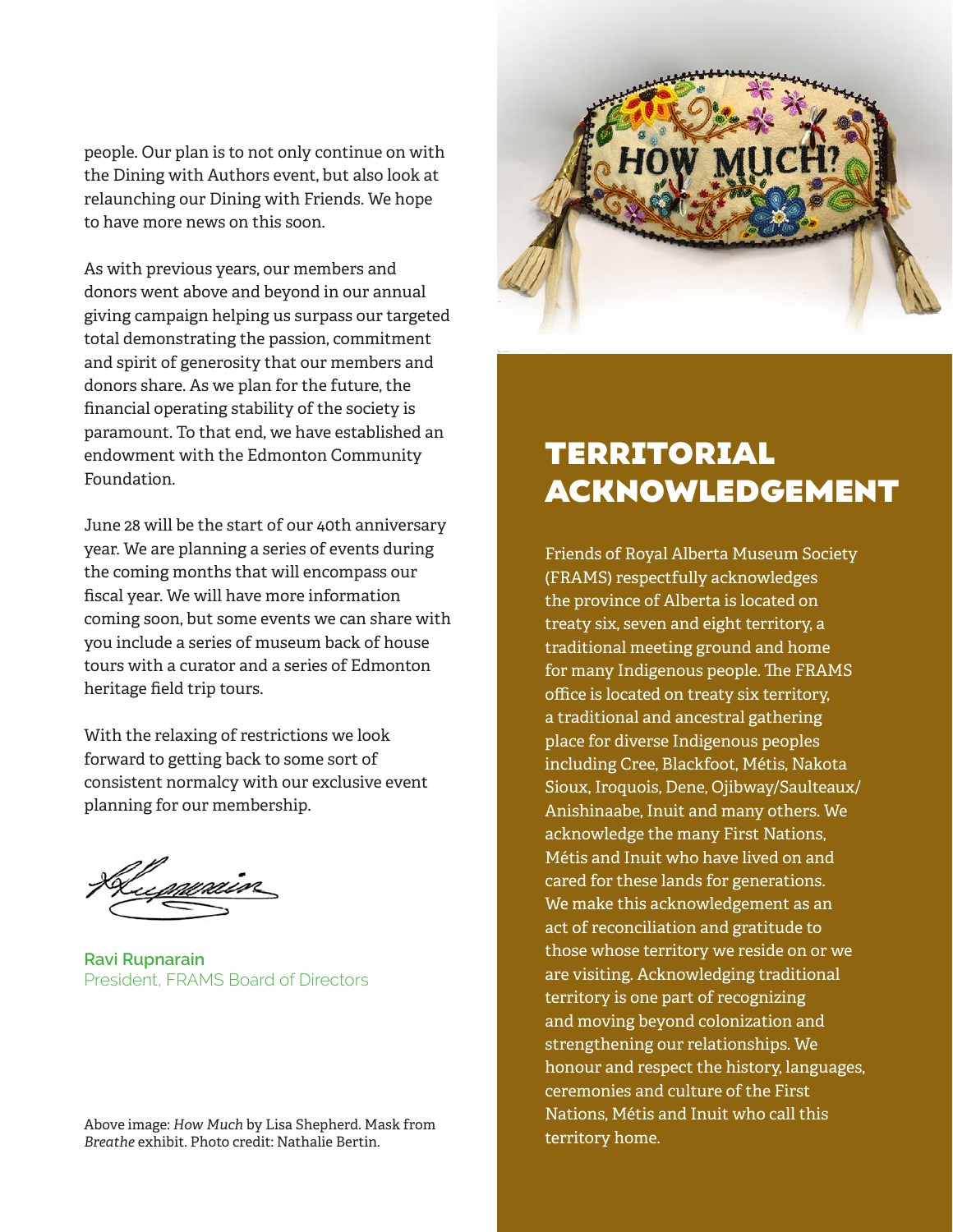people. Our plan is to not only continue on with the Dining with Authors event, but also look at relaunching our Dining with Friends. We hope to have more news on this soon.

As with previous years, our members and donors went above and beyond in our annual giving campaign helping us surpass our targeted total demonstrating the passion, commitment and spirit of generosity that our members and donors share. As we plan for the future, the financial operating stability of the society is paramount. To that end, we have established an endowment with the Edmonton Community Foundation.

June 28 will be the start of our 40th anniversary year. We are planning a series of events during the coming months that will encompass our fiscal year. We will have more information coming soon, but some events we can share with you include a series of museum back of house tours with a curator and a series of Edmonton heritage field trip tours.

With the relaxing of restrictions we look forward to getting back to some sort of consistent normalcy with our exclusive event planning for our membership.

**Ravi Rupnarain** President, FRAMS Board of Directors

Above image: *How Much* by Lisa Shepherd. Mask from *Breathe* exhibit. Photo credit: Nathalie Bertin.



## TERRITORIAL ACKNOWLEDGEMENT

Friends of Royal Alberta Museum Society (FRAMS) respectfully acknowledges the province of Alberta is located on treaty six, seven and eight territory, a traditional meeting ground and home for many Indigenous people. The FRAMS office is located on treaty six territory, a traditional and ancestral gathering place for diverse Indigenous peoples including Cree, Blackfoot, Métis, Nakota Sioux, Iroquois, Dene, Ojibway/Saulteaux/ Anishinaabe, Inuit and many others. We acknowledge the many First Nations, Métis and Inuit who have lived on and cared for these lands for generations. We make this acknowledgement as an act of reconciliation and gratitude to those whose territory we reside on or we are visiting. Acknowledging traditional territory is one part of recognizing and moving beyond colonization and strengthening our relationships. We honour and respect the history, languages, ceremonies and culture of the First Nations, Métis and Inuit who call this territory home.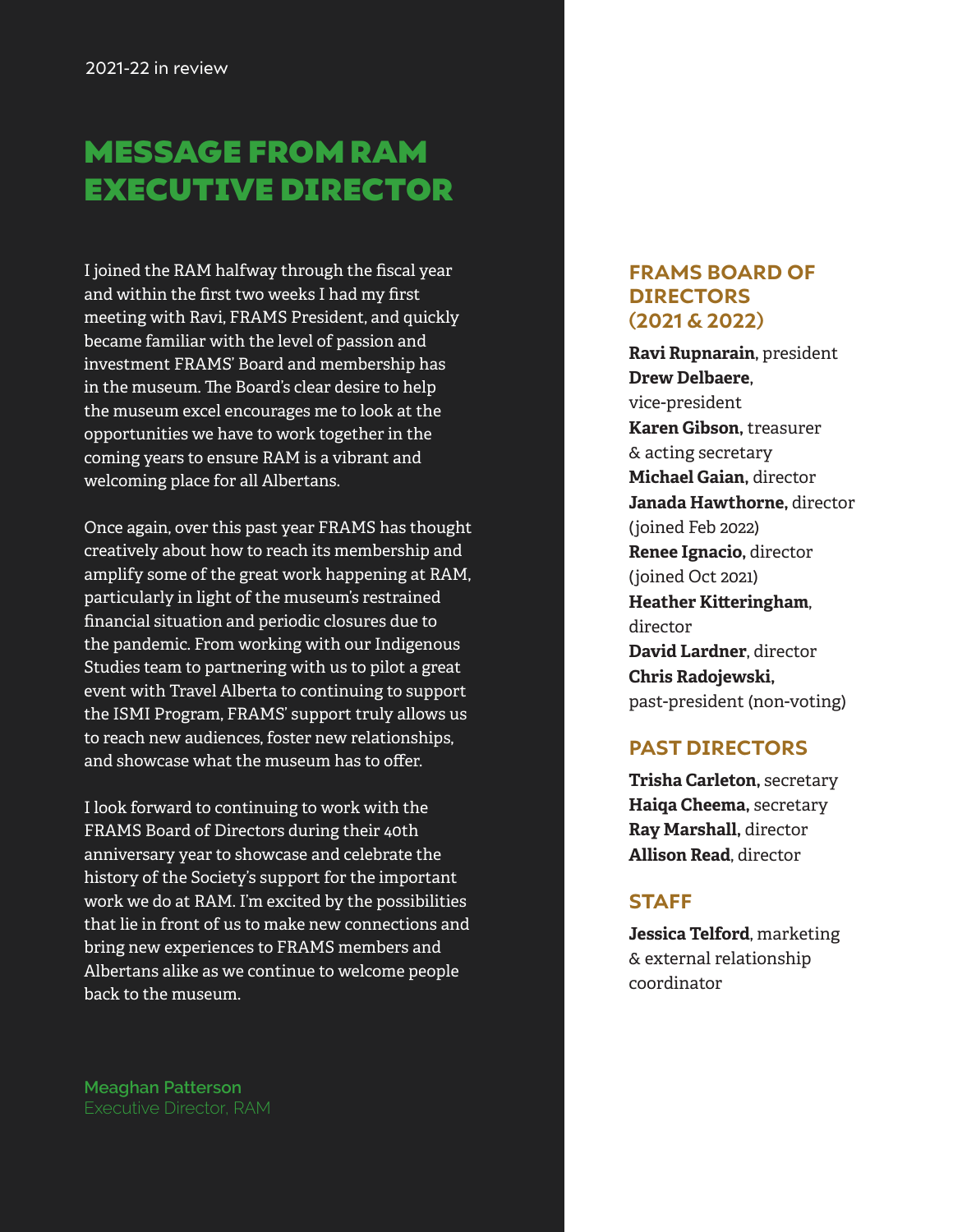## MESSAGE FROM RAM EXECUTIVE DIRECTOR

I joined the RAM halfway through the fiscal year and within the first two weeks I had my first meeting with Ravi, FRAMS President, and quickly became familiar with the level of passion and investment FRAMS' Board and membership has in the museum. The Board's clear desire to help the museum excel encourages me to look at the opportunities we have to work together in the coming years to ensure RAM is a vibrant and welcoming place for all Albertans.

Once again, over this past year FRAMS has thought creatively about how to reach its membership and amplify some of the great work happening at RAM, particularly in light of the museum's restrained financial situation and periodic closures due to the pandemic. From working with our Indigenous Studies team to partnering with us to pilot a great event with Travel Alberta to continuing to support the ISMI Program, FRAMS' support truly allows us to reach new audiences, foster new relationships, and showcase what the museum has to offer.

I look forward to continuing to work with the FRAMS Board of Directors during their 40th anniversary year to showcase and celebrate the history of the Society's support for the important work we do at RAM. I'm excited by the possibilities that lie in front of us to make new connections and bring new experiences to FRAMS members and Albertans alike as we continue to welcome people back to the museum.

**Meaghan Patterson** Executive Director, RAM

#### **FRAMS BOARD OF DIRECTORS (2021 & 2022)**

**Ravi Rupnarain,** president **Drew Delbaere,**  vice-president **Karen Gibson,** treasurer & acting secretary **Michael Gaian,** director **Janada Hawthorne,** director (joined Feb 2022) **Renee Ignacio,** director (joined Oct 2021) **Heather Kitteringham**, director **David Lardner**, director **Chris Radojewski,**  past-president (non-voting)

#### **PAST DIRECTORS**

**Trisha Carleton,** secretary **Haiqa Cheema,** secretary **Ray Marshall,** director **Allison Read**, director

#### **STAFF**

**Jessica Telford**, marketing & external relationship coordinator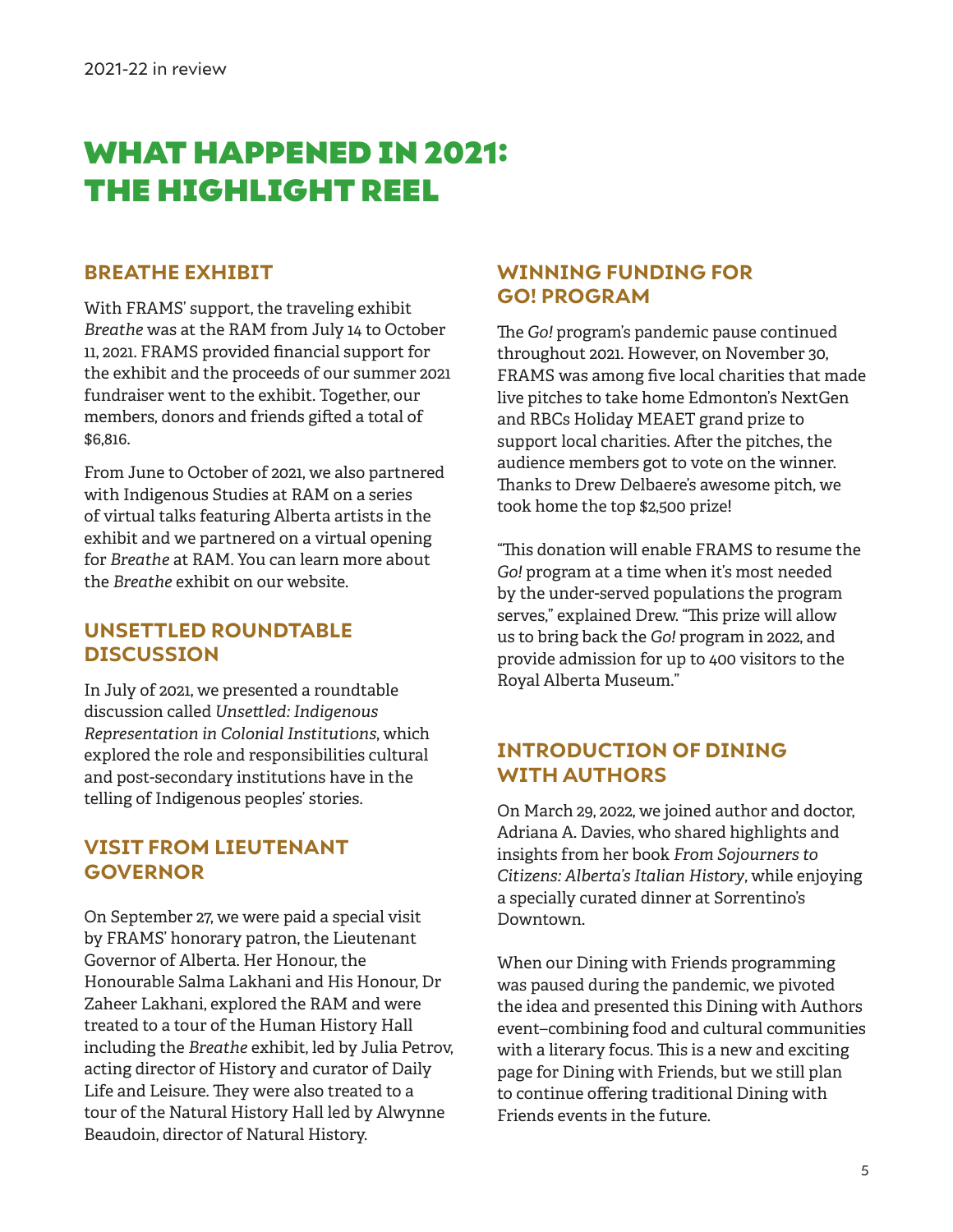## WHAT HAPPENED IN 2021: THE HIGHLIGHT REEL

#### **BREATHE EXHIBIT**

With FRAMS' support, the traveling exhibit *Breathe* was at the RAM from July 14 to October 11, 2021. FRAMS provided financial support for the exhibit and the proceeds of our summer 2021 fundraiser went to the exhibit. Together, our members, donors and friends gifted a total of \$6,816.

From June to October of 2021, we also partnered with Indigenous Studies at RAM on a series of virtual talks featuring Alberta artists in the exhibit and we partnered on a virtual opening for *Breathe* at RAM. You can learn more about the *Breathe* exhibit on our website.

#### **UNSETTLED ROUNDTABLE DISCUSSION**

In July of 2021, we presented a roundtable discussion called *Unsettled: Indigenous Representation in Colonial Institutions*, which explored the role and responsibilities cultural and post-secondary institutions have in the telling of Indigenous peoples' stories.

#### **VISIT FROM LIEUTENANT GOVERNOR**

On September 27, we were paid a special visit by FRAMS' honorary patron, the Lieutenant Governor of Alberta. Her Honour, the Honourable Salma Lakhani and His Honour, Dr Zaheer Lakhani, explored the RAM and were treated to a tour of the Human History Hall including the *Breathe* exhibit, led by Julia Petrov, acting director of History and curator of Daily Life and Leisure. They were also treated to a tour of the Natural History Hall led by Alwynne Beaudoin, director of Natural History.

#### **WINNING FUNDING FOR GO! PROGRAM**

The *Go!* program's pandemic pause continued throughout 2021. However, on November 30, FRAMS was among five local charities that made live pitches to take home Edmonton's NextGen and RBCs Holiday MEAET grand prize to support local charities. After the pitches, the audience members got to vote on the winner. Thanks to Drew Delbaere's awesome pitch, we took home the top \$2,500 prize!

"This donation will enable FRAMS to resume the *Go!* program at a time when it's most needed by the under-served populations the program serves," explained Drew. "This prize will allow us to bring back the *Go!* program in 2022, and provide admission for up to 400 visitors to the Royal Alberta Museum."

#### **INTRODUCTION OF DINING WITH AUTHORS**

On March 29, 2022, we joined author and doctor, Adriana A. Davies, who shared highlights and insights from her book *From Sojourners to Citizens: Alberta's Italian History*, while enjoying a specially curated dinner at Sorrentino's Downtown.

When our Dining with Friends programming was paused during the pandemic, we pivoted the idea and presented this Dining with Authors event–combining food and cultural communities with a literary focus. This is a new and exciting page for Dining with Friends, but we still plan to continue offering traditional Dining with Friends events in the future.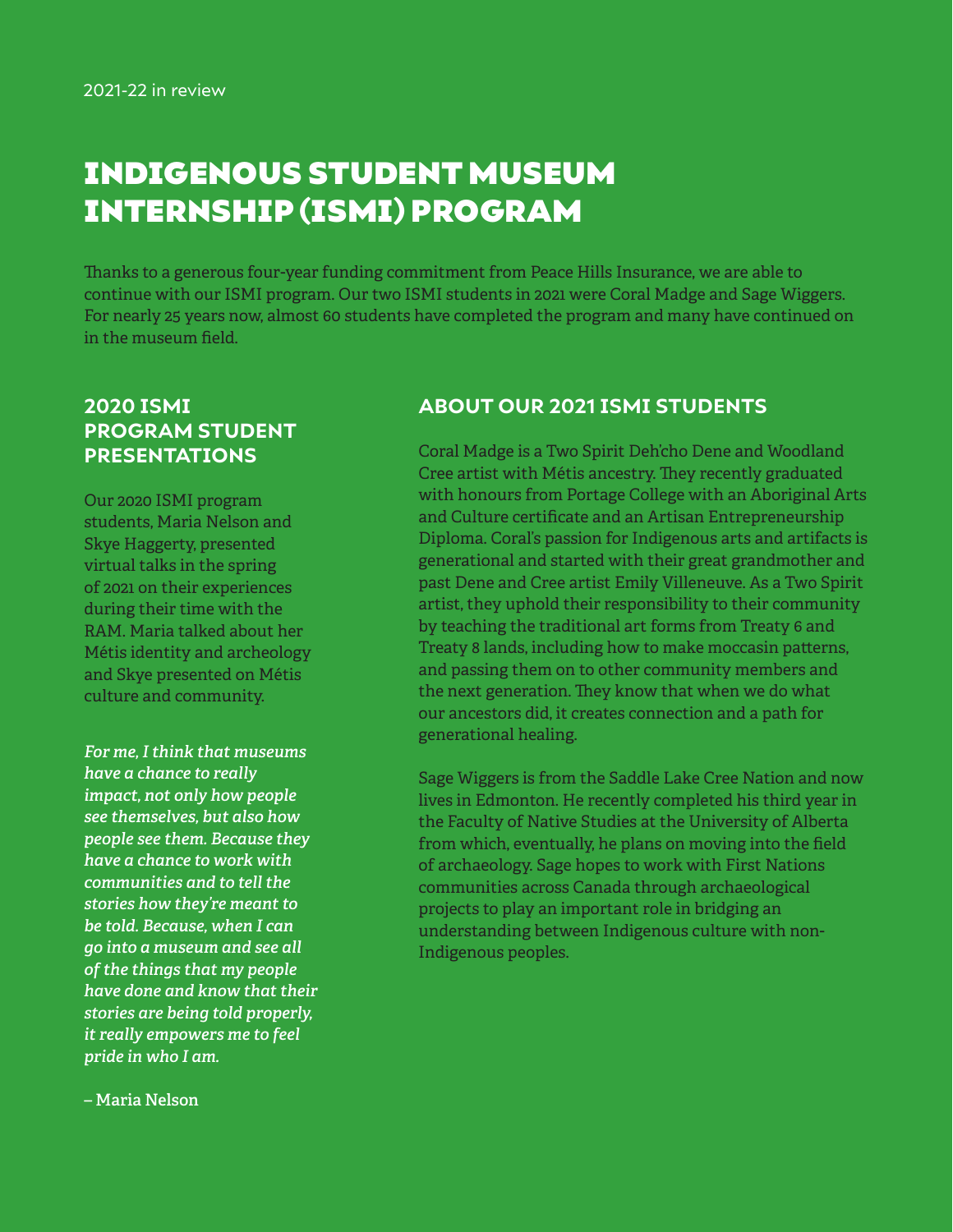## INDIGENOUS STUDENT MUSEUM INTERNSHIP (ISMI) PROGRAM

Thanks to a generous four-year funding commitment from Peace Hills Insurance, we are able to continue with our ISMI program. Our two ISMI students in 2021 were Coral Madge and Sage Wiggers. For nearly 25 years now, almost 60 students have completed the program and many have continued on in the museum field.

#### **2020 ISMI PROGRAM STUDENT PRESENTATIONS**

Our 2020 ISMI program students, Maria Nelson and Skye Haggerty, presented virtual talks in the spring of 2021 on their experiences during their time with the RAM. Maria talked about her Métis identity and archeology and Skye presented on Métis culture and community.

*For me, I think that museums have a chance to really impact, not only how people see themselves, but also how people see them. Because they have a chance to work with communities and to tell the stories how they're meant to be told. Because, when I can go into a museum and see all of the things that my people have done and know that their stories are being told properly, it really empowers me to feel pride in who I am.* 

#### **ABOUT OUR 2021 ISMI STUDENTS**

Coral Madge is a Two Spirit Deh'cho Dene and Woodland Cree artist with Métis ancestry. They recently graduated with honours from Portage College with an Aboriginal Arts and Culture certificate and an Artisan Entrepreneurship Diploma. Coral's passion for Indigenous arts and artifacts is generational and started with their great grandmother and past Dene and Cree artist Emily Villeneuve. As a Two Spirit artist, they uphold their responsibility to their community by teaching the traditional art forms from Treaty 6 and Treaty 8 lands, including how to make moccasin patterns, and passing them on to other community members and the next generation. They know that when we do what our ancestors did, it creates connection and a path for generational healing.

Sage Wiggers is from the Saddle Lake Cree Nation and now lives in Edmonton. He recently completed his third year in the Faculty of Native Studies at the University of Alberta from which, eventually, he plans on moving into the field of archaeology. Sage hopes to work with First Nations communities across Canada through archaeological projects to play an important role in bridging an understanding between Indigenous culture with non-Indigenous peoples.

**– Maria Nelson**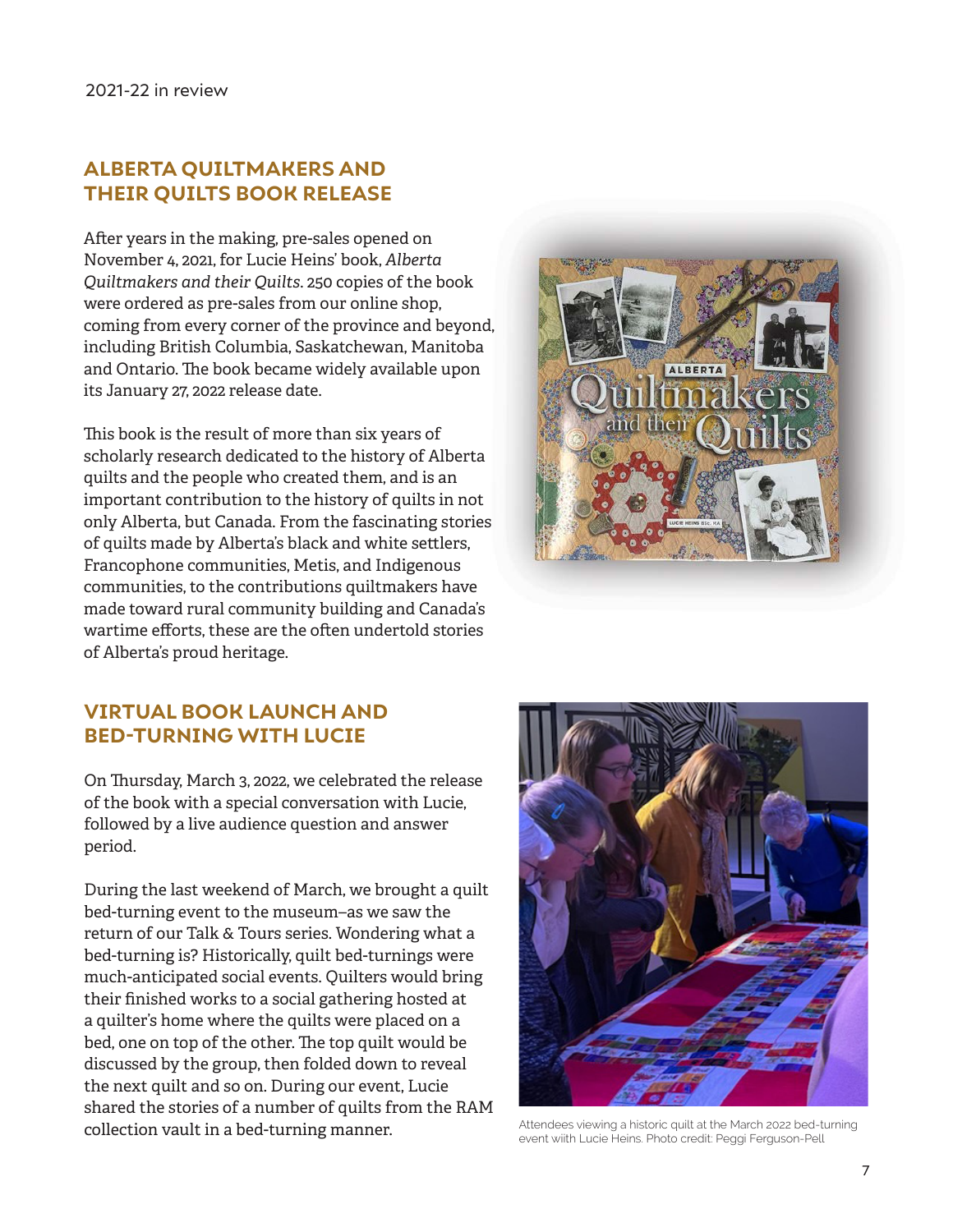#### **ALBERTA QUILTMAKERS AND THEIR QUILTS BOOK RELEASE**

After years in the making, pre-sales opened on November 4, 2021, for Lucie Heins' book, *Alberta Quiltmakers and their Quilts*. 250 copies of the book were ordered as pre-sales from our online shop, coming from every corner of the province and beyond, including British Columbia, Saskatchewan, Manitoba and Ontario. The book became widely available upon its January 27, 2022 release date.

This book is the result of more than six years of scholarly research dedicated to the history of Alberta quilts and the people who created them, and is an important contribution to the history of quilts in not only Alberta, but Canada. From the fascinating stories of quilts made by Alberta's black and white settlers, Francophone communities, Metis, and Indigenous communities, to the contributions quiltmakers have made toward rural community building and Canada's wartime efforts, these are the often undertold stories of Alberta's proud heritage.



#### **VIRTUAL BOOK LAUNCH AND BED-TURNING WITH LUCIE**

On Thursday, March 3, 2022, we celebrated the release of the book with a special conversation with Lucie, followed by a live audience question and answer period.

During the last weekend of March, we brought a quilt bed-turning event to the museum–as we saw the return of our Talk & Tours series. Wondering what a bed-turning is? Historically, quilt bed-turnings were much-anticipated social events. Quilters would bring their finished works to a social gathering hosted at a quilter's home where the quilts were placed on a bed, one on top of the other. The top quilt would be discussed by the group, then folded down to reveal the next quilt and so on. During our event, Lucie shared the stories of a number of quilts from the RAM collection vault in a bed-turning manner.<br>
Attendees viewing a historic quilt at the March 2022 bed-turning



event wiith Lucie Heins. Photo credit: Peggi Ferguson-Pell